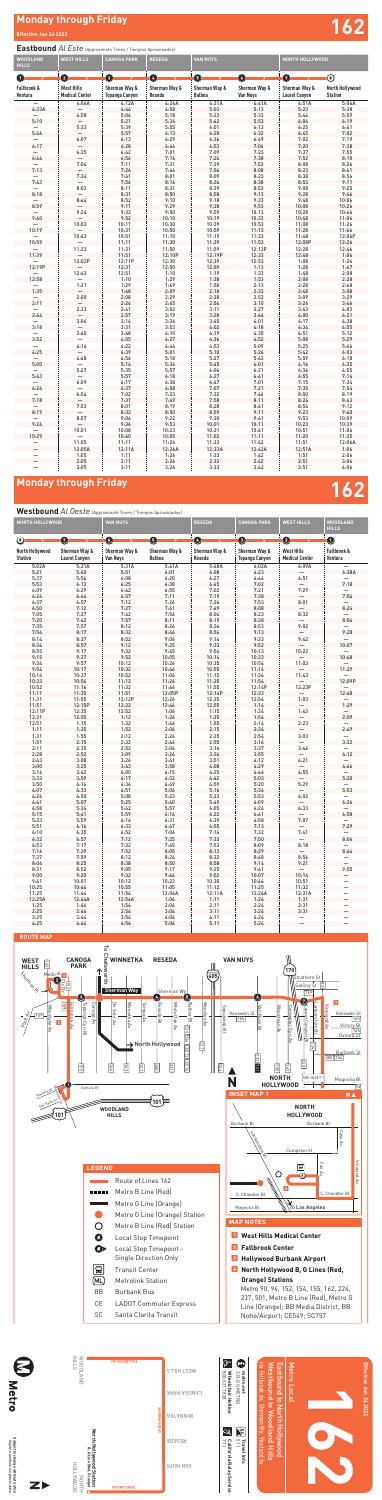# **Monday through Friday Effective Jun 26 2022 162**

### **Eastbound** *Al Este* (Approximate Times / Tiempos Aproximados)

Subject to change without notice<br>Sujeto a cambios sin previo aviso **Subject to change without notice** *Sujeto a cambios sin previo aviso*





| <b>WOODLAND</b><br><b>HILLS</b>  | <b>WEST HILLS</b>                          | <b>CANOGA PARK</b>              | <b>RESEDA</b>           | <b>VAN NUYS</b>                |                           | NORTH HOLLYWOOD                       |                                   |  |
|----------------------------------|--------------------------------------------|---------------------------------|-------------------------|--------------------------------|---------------------------|---------------------------------------|-----------------------------------|--|
| $\left( \mathbf{1}\right)$       | 0                                          | $\bullet$                       | ❹                       | $\boldsymbol{\Theta}$          | $\mathbf{O}$              | $\bm{O}$                              | $\circledS$                       |  |
| Fallbrook &<br>Ventura           | <b>West Hills</b><br><b>Medical Center</b> | Sherman Way &<br>Topanga Canyon | Sherman Way &<br>Reseda | Sherman Way &<br><b>Balboa</b> | Sherman Way &<br>Van Nuys | Sherman Way &<br><b>Laurel Canyon</b> | North Hollywood<br><b>Station</b> |  |
| $\overline{\phantom{0}}$         | 4:06A                                      | 4:12A                           | 4:26A                   | 4:31A                          | 4:41A                     | 4:51A                                 | 5:06A                             |  |
| 4:33A                            |                                            | 4:44                            | 4:58                    | 5:03                           | 5:13                      | 5:23                                  | 5:38                              |  |
| 5:10                             | 4:58                                       | 5:04<br>5:21                    | 5:18<br>5:36            | 5:23<br>5:42                   | 5:33<br>5:53              | 5:44<br>6:04                          | 5:59<br>6:19                      |  |
|                                  | 5:33                                       | 5:39                            | 5:55                    | 6:01                           | 6:13                      | 6:25                                  | 6:41                              |  |
| 5:46                             |                                            | 5:57                            | 6:13                    | 6:20                           | 6:32                      | 6:45                                  | 7:02                              |  |
| —                                | 6:07                                       | 6:13                            | 6:29                    | 6:36                           | 6:49                      | 7:02                                  | 7:19                              |  |
| 6:17                             |                                            | 6:28                            | 6:46                    | 6:53                           | 7:06                      | 7:20                                  | 7:38                              |  |
| —                                | 6:35                                       | 6:42                            | 7:01                    | 7:09                           | 7:23                      | 7:37                                  | 7:55                              |  |
| 6:44                             | 7:04                                       | 6:56<br>7:11                    | 7:16<br>7:31            | 7:24<br>7:39                   | 7:38<br>7:53              | 7:52<br>8:08                          | 8:10<br>8:26                      |  |
| 7:13                             |                                            | 7:26                            | 7:46                    | 7:54                           | 8:08                      | 8:23                                  | 8:41                              |  |
|                                  | 7:34                                       | 7:41                            | 8:01                    | 8:09                           | 8:23                      | 8:38                                  | 8:56                              |  |
| 7:43                             |                                            | 7:56                            | 8:16                    | 8:24                           | 8:38                      | 8:53                                  | 9:11                              |  |
|                                  | 8:03                                       | 8:11                            | 8:31                    | 8:39                           | 8:53                      | 9:08                                  | 9:25                              |  |
| 8:18                             |                                            | 8:31                            | 8:50                    | 8:58                           | 9:13                      | 9:28                                  | 9:46                              |  |
|                                  | 8:44                                       | 8:52                            | 9:10                    | 9:18                           | 9:33                      | 9:48                                  | 10:06                             |  |
| 8:59                             | 9:24                                       | 9:11<br>9:32                    | 9:29<br>9:50            | 9:38<br>9:59                   | 9:53<br>10:13             | 10:08<br>10:28                        | 10:26<br>10:46                    |  |
| 9:40                             |                                            | 9:52                            | 10:10                   | 10:19                          | 10:33                     | 10:48                                 | 11:06                             |  |
|                                  | 10:03                                      | 10:11                           | 10:30                   | 10:39                          | 10:53                     | 11:08                                 | 11:26                             |  |
| 10:19                            |                                            | 10:31                           | 10:50                   | 10:59                          | 11:13                     | 11:28                                 | 11:46                             |  |
|                                  | 10:43                                      | 10:51                           | 11:10                   | 11:19                          | 11:33                     | 11:48                                 | 12:06P                            |  |
| 10:59                            |                                            | 11:11                           | 11:30                   | 11:39                          | 11:53                     | 12:08P                                | 12:26                             |  |
|                                  | 11:23                                      | 11:31                           | 11:50                   | 11:59                          | 12:13P                    | 12:28                                 | 12:46                             |  |
| 11:39                            | 12:03P                                     | 11:51<br>12:11P                 | 12:10P<br>12:30         | 12:19P                         | 12:33<br>12:53            | 12:48<br>1:08                         | 1:06<br>1:26                      |  |
| 12:19P                           |                                            | 12:31                           | 12:50                   | 12:39<br>12:59                 | 1:13                      | 1:28                                  | 1:47                              |  |
|                                  | 12:43                                      | 12:51                           | 1:10                    | 1:19                           | 1:33                      | 1:48                                  | 2:08                              |  |
| 12:58                            |                                            | 1:10                            | 1:29                    | 1:38                           | 1:53                      | 2:08                                  | 2:28                              |  |
|                                  | 1:21                                       | 1:29                            | 1:49                    | 1:58                           | 2:13                      | 2:28                                  | 2:48                              |  |
| 1:35                             |                                            | 1:48                            | 2:09                    | 2:18                           | 2:33                      | 2:48                                  | 3:08                              |  |
|                                  | 2:00                                       | 2:08                            | 2:29                    | 2:38                           | 2:53                      | 3:09                                  | 3:29                              |  |
| 2:11                             | 2:33                                       | 2:24<br>2:41                    | 2:45<br>3:02            | 2:54<br>3:11                   | 3:10<br>3:27              | 3:26<br>3:43                          | 3:46<br>4:03                      |  |
| 2:44                             |                                            | 2:57                            | 3:19                    | 3:28                           | 3:44                      | 4:00                                  | 4:21                              |  |
|                                  | 3:06                                       | 3:14                            | 3:36                    | 3:45                           | 4:01                      | 4:17                                  | 4:38                              |  |
| 3:18                             |                                            | 3:31                            | 3:53                    | 4:02                           | 4:18                      | 4:34                                  | 4:55                              |  |
|                                  | 3:40                                       | 3:48                            | 4:10                    | 4:19                           | 4:35                      | 4:51                                  | 5:12                              |  |
| 3:52                             |                                            | 4:05                            | 4:27                    | 4:36                           | 4:52                      | 5:08                                  | 5:29                              |  |
| 4:25                             | 4:14                                       | 4:22<br>4:39                    | 4:44<br>5:01            | 4:53<br>5:10                   | 5:09<br>5:26              | 5:25<br>5:42                          | 5:46<br>6:03                      |  |
|                                  | 4:48                                       | 4:56                            | 5:18                    | 5:27                           | 5:43                      | 5:59                                  | 6:18                              |  |
| 5:00                             |                                            | 5:14                            | 5:36                    | 5:45                           | 6:01                      | 6:16                                  | 6:35                              |  |
|                                  | 5:27                                       | 5:35                            | 5:57                    | 6:06                           | 6:21                      | 6:36                                  | 6:55                              |  |
| 5:43                             |                                            | 5:57                            | 6:18                    | 6:27                           | 6:41                      | 6:55                                  | 7:14                              |  |
|                                  | 6:09                                       | 6:17                            | 6:38                    | 6:47                           | 7:01                      | 7:15                                  | 7:34                              |  |
| 6:24                             |                                            | 6:37                            | 6:58                    | 7:07                           | 7:21                      | 7:35                                  | 7:54                              |  |
|                                  | 6:54                                       | 7:02<br>7:31                    | 7:23                    | 7:32                           | 7:46<br>8:11              | 8:00<br>8:24                          | 8:19                              |  |
| 7:18<br>$\overline{\phantom{0}}$ | $\overline{\phantom{0}}$<br>7:53           | 8:01                            | 7:49<br>8:19            | 7:58<br>8:28                   | 8:41                      | 8:54                                  | 8:43<br>9:12                      |  |
| 8:19                             |                                            | 8:32                            | 8:50                    | 8:59                           | 9:11                      | 9:23                                  | 9:40                              |  |
|                                  | 8:57                                       | 9:04                            | 9:22                    | 9:30                           | 9:41                      | 9:53                                  | 10:09                             |  |
| 9:24                             | $\overline{\phantom{0}}$                   | 9:36                            | 9:53                    | 10:01                          | 10:11                     | 10:23                                 | 10:39                             |  |
| —                                | 10:01                                      | 10:08                           | 10:23                   | 10:31                          | 10:41                     | 10:51                                 | 11:06                             |  |
| 10:29                            | $\qquad \qquad -$                          | 10:40                           | 10:55                   | 11:02                          | 11:11                     | 11:20                                 | 11:35                             |  |
| —                                | 11:05                                      | 11:11                           | 11:26                   | 11:33                          | 11:42                     | 11:51                                 | 12:06A                            |  |
| -                                | 12:05A<br>1:05                             | 12:11A<br>1:11                  | 12:26A<br>1:26          | 12:33A<br>1:33                 | 12:42A<br>1:42            | 12:51A<br>1:51                        | 1:06<br>2:06                      |  |
| -<br>$\overline{\phantom{0}}$    | 2:05                                       | 2:11                            | 2:26                    | 2:33                           | 2:42                      | 2:51                                  | 3:06                              |  |
|                                  | 3:05                                       | 3:11                            | 3:26                    | 3:33                           | 3:42                      | 3:51                                  | 4:06                              |  |

## **Monday through Friday 1622 Contract of the United States 1622 Contract of the United States 1622 Contract of the U**

### **Westbound** *Al Oeste* (Approximate Times / Tiempos Aproximados)

|                                          | <b>NORTH HOLLYWOOD</b>                |                                  | <b>VAN NUYS</b>         |                         | <b>CANOGA PARK</b>                     | <b>WEST HILLS</b>                          | <b>WOODLAND</b><br><b>HILLS</b> |
|------------------------------------------|---------------------------------------|----------------------------------|-------------------------|-------------------------|----------------------------------------|--------------------------------------------|---------------------------------|
| ◉                                        | Ø                                     | ➊                                | ❶                       | ❹                       | ❸                                      | 0                                          | ❶                               |
| <b>North Hollywood</b><br><b>Station</b> | Sherman Way &<br><b>Laurel Canyon</b> | Sherman Way &<br><b>Van Nuys</b> | Sherman Way &<br>Balboa | Sherman Way &<br>Reseda | Sherman Way &<br><b>Topanga Canyon</b> | <b>West Hills</b><br><b>Medical Center</b> | Fallbrook &<br>Ventura          |
| 5:02A                                    | 5:21A                                 | 5:31A                            | 5:41A                   | 5:48A                   | 6:02A                                  | 6:09A                                      |                                 |
| 5:21                                     | 5:40                                  | 5:51                             | 6:01                    | 6:08                    | 6:23                                   |                                            | 6:38A                           |
| 5:37<br>5:53                             | 5:56<br>6:13                          | 6:08<br>6:25                     | 6:20<br>6:38            | 6:27<br>6:45            | 6:44<br>7:02                           | 6:51                                       | 7:18                            |
| 6:09                                     | 6:29                                  | 6:42                             | 6:55                    | 7:02                    | 7:21                                   | 7:29                                       |                                 |
| 6:24                                     | 6:44                                  | 6:57                             | 7:11                    | 7:19                    | 7:38                                   |                                            | 7:54                            |
| 6:37                                     | 6:57                                  | 7:12                             | 7:26                    | 7:34                    | 7:53                                   | 8:01                                       |                                 |
| 6:50                                     | 7:12                                  | 7:27                             | 7:41                    | 7:49                    | 8:08                                   |                                            | 8:24                            |
| 7:05                                     | 7:27                                  | 7:42                             | 7:56                    | 8:04                    | 8:23                                   | 8:32                                       | —                               |
| 7:20                                     | 7:42                                  | 7:57                             | 8:11                    | 8:19                    | 8:38                                   |                                            | 8:54                            |
| 7:35                                     | 7:57                                  | 8:12                             | 8:26                    | 8:34                    | 8:53                                   | 9:02                                       |                                 |
| 7:54                                     | 8:17                                  | 8:32                             | 8:46                    | 8:54                    | 9:13                                   |                                            | 9:28                            |
| 8:14<br>8:34                             | 8:37<br>8:57                          | 8:52<br>9:12                     | 9:06<br>9:25            | 9:14<br>9:33            | 9:33<br>9:52                           | 9:42                                       | 10:07                           |
| 8:55                                     | 9:17                                  | 9:32                             | 9:45                    | 9:54                    | 10:13                                  | 10:22                                      |                                 |
| 9:15                                     | 9:37                                  | 9:52                             | 10:05                   | 10:14                   | 10:33                                  |                                            | 10:48                           |
| 9:34                                     | 9:57                                  | 10:12                            | 10:26                   | 10:35                   | 10:54                                  | 11:03                                      |                                 |
| 9:54                                     | 10:17                                 | 10:32                            | 10:46                   | 10:55                   | 11:14                                  |                                            | 11:29                           |
| 10:14                                    | 10:37                                 | 10:52                            | 11:06                   | 11:15                   | 11:34                                  | 11:43                                      |                                 |
| 10:33                                    | 10:56                                 | 11:12                            | 11:26                   | 11:35                   | 11:54                                  |                                            | 12:09P                          |
| 10:52                                    | 11:16                                 | 11:32                            | 11:46                   | 11:55                   | 12:14P                                 | 12:23P                                     |                                 |
| 11:11                                    | 11:35                                 | 11:51                            | 12:05P                  | 12:14P                  | 12:33                                  |                                            | 12:48                           |
| 11:31                                    | 11:55                                 | 12:12P                           | 12:26                   | 12:35                   | 12:54                                  | 1:03                                       |                                 |
| 11:51<br>12:11P                          | 12:15P<br>12:35                       | 12:32<br>12:52                   | 12:46<br>1:06           | 12:55                   | 1:14<br>1:34                           | 1:43                                       | 1:29                            |
| 12:31                                    | 12:55                                 | 1:12                             | 1:26                    | 1:15<br>1:35            | 1:54                                   |                                            | 2:09                            |
| 12:51                                    | 1:15                                  | 1:32                             | 1:46                    | 1:55                    | 2:14                                   | 2:23                                       |                                 |
| 1:11                                     | 1:35                                  | 1:52                             | 2:06                    | 2:15                    | 2:34                                   |                                            | 2:49                            |
| 1:31                                     | 1:55                                  | 2:12                             | 2:26                    | 2:35                    | 2:54                                   | 3:03                                       |                                 |
| 1:51                                     | 2:15                                  | 2:32                             | 2:46                    | 2:55                    | 3:16                                   |                                            | 3:32                            |
| 2:11                                     | 2:35                                  | 2:52                             | 3:06                    | 3:16                    | 3:37                                   | 3:46                                       |                                 |
| 2:28                                     | 2:52                                  | 3:09                             | 3:24                    | 3:34                    | 3:55                                   |                                            | 4:12                            |
| 2:43                                     | 3:08                                  | 3:26                             | 3:41                    | 3:51                    | 4:12                                   | 4:21                                       | —                               |
| 3:00<br>3:16                             | 3:25<br>3:42                          | 3:43<br>4:00                     | 3:58<br>4:15            | 4:08<br>4:25            | 4:29<br>4:46                           | 4:55                                       | 4:46                            |
| 3:33                                     | 3:59                                  | 4:17                             | 4:32                    | 4:42                    | 5:03                                   |                                            | 5:20                            |
| 3:50                                     | 4:16                                  | 4:34                             | 4:49                    | 4:59                    | 5:20                                   | 5:29                                       |                                 |
| 4:07                                     | 4:33                                  | 4:51                             | 5:06                    | 5:16                    | 5:36                                   |                                            | 5:53                            |
| 4:24                                     | 4:50                                  | 5:08                             | 5:23                    | 5:33                    | 5:53                                   | 6:02                                       | —                               |
| 4:41                                     | 5:07                                  | 5:25                             | 5:40                    | 5:49                    | 6:09                                   |                                            | 6:26                            |
| 4:58                                     | 5:24                                  | 5:42                             | 5:57                    | 6:05                    | 6:24                                   | 6:33                                       |                                 |
| 5:15                                     | 5:41                                  | 5:59                             | 6:14                    | 6:22                    | 6:41                                   |                                            | 6:58                            |
| 5:33<br>5:51                             | 5:59                                  | 6:16                             | 6:31<br>6:47            | 6:39                    | 6:58<br>7:13                           | 7:07                                       | 7:29                            |
| 6:10                                     | 6:16<br>6:35                          | 6:33<br>6:52                     | 7:06                    | 6:55<br>7:14            | 7:32                                   | 7:41                                       | —                               |
| 6:32                                     | 6:57                                  | 7:12                             | 7:25                    | 7:33                    | 7:50                                   |                                            | 8:06                            |
| 6:53                                     | 7:17                                  | 7:32                             | 7:45                    | 7:53                    | 8:09                                   | 8:18                                       |                                 |
| 7:16                                     | 7:39                                  | 7:52                             | 8:05                    | 8:13                    | 8:29                                   |                                            | 8:44                            |
| 7:37                                     | 7:59                                  | 8:12                             | 8:24                    | 8:32                    | 8:48                                   | 8:56                                       |                                 |
| 8:04                                     | 8:25                                  | 8:38                             | 8:50                    | 8:58                    | 9:14                                   | 9:21                                       |                                 |
| 8:31                                     | 8:52                                  | 9:05                             | 9:17                    | 9:25                    | 9:41                                   | —                                          | 9:55                            |
| 9:00                                     | 9:20                                  | 9:32                             | 9:44                    | 9:52                    | 10:07                                  | 10:14                                      |                                 |
| 9:41<br>10:25                            | 10:01                                 | 10:12<br>10:55                   | 10:23<br>11:05          | 10:30                   | 10:44<br>11:25                         | 10:51<br>11:32                             | —<br>$\overline{\phantom{0}}$   |
| 11:25                                    | 10:44<br>11:44                        | 11:54                            | 12:04A                  | 11:12<br>12:11A         | 12:24A                                 | 12:31A                                     | —                               |
| 12:25A                                   | 12:44A                                | 12:54A                           | 1:04                    | 1:11                    | 1:24                                   | 1:31                                       | $\overline{\phantom{0}}$        |
| 1:25                                     | 1:44                                  | 1:54                             | 2:04                    | 2:11                    | 2:24                                   | 2:31                                       | —                               |
| 2:25                                     | 2:44                                  | 2:54                             | 3:04                    | 3:11                    | 3:24                                   | 3:31                                       | $\overline{\phantom{0}}$        |
| 3:25                                     | 3:44                                  | 3:54                             | 4:04                    | 4:11                    | 4:24                                   | $\equiv$                                   | $\equiv$                        |
| 4:25                                     | 4:44                                  | 4:54                             | 5:04                    | 5:11                    | 5:24                                   |                                            |                                 |
|                                          |                                       |                                  |                         |                         |                                        |                                            |                                 |

| Ģ<br>μ<br>Metro Local<br>metro.net<br>8287.7828                                                                                                                                                             |                                    |  |
|-------------------------------------------------------------------------------------------------------------------------------------------------------------------------------------------------------------|------------------------------------|--|
|                                                                                                                                                                                                             | Wheelchair Hotline<br>323.GO.METRO |  |
| via Fallbrook Av, Sherman Wy, Vineland Av<br>Westbound to Woodland Hills<br><b>Eastbound to North Hollywood</b><br>۴È<br>٧<br>111<br><b>Travel Info</b><br>$\frac{1}{2}$<br><b>California Relay Service</b> |                                    |  |





**Effective Jun 26 2022**

Effective Jun 26 2022